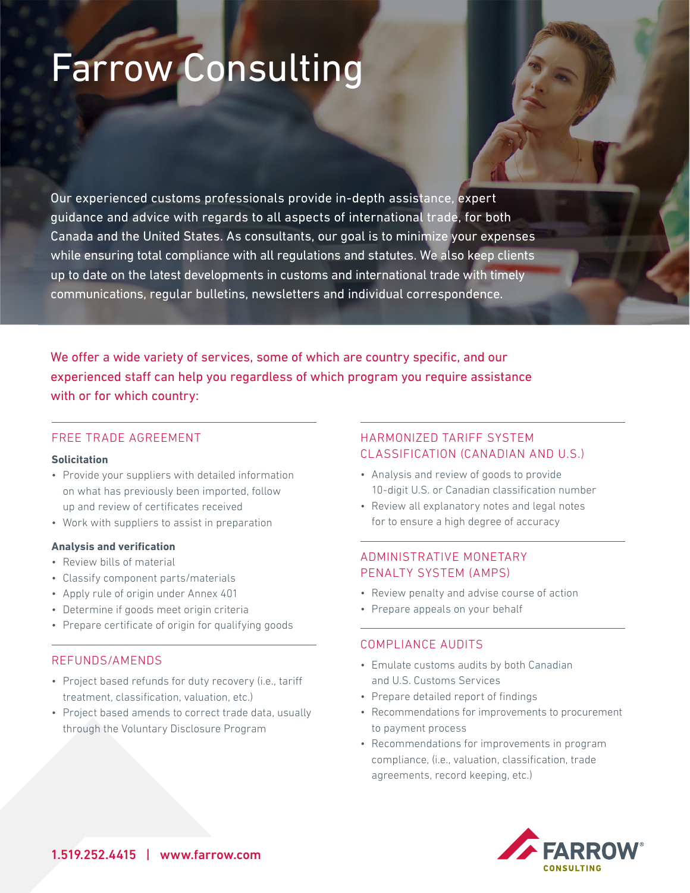# Farrow Consulting

Our experienced customs professionals provide in-depth assistance, expert guidance and advice with regards to all aspects of international trade, for both Canada and the United States. As consultants, our goal is to minimize your expenses while ensuring total compliance with all regulations and statutes. We also keep clients up to date on the latest developments in customs and international trade with timely communications, regular bulletins, newsletters and individual correspondence.

We offer a wide variety of services, some of which are country specific, and our experienced staff can help you regardless of which program you require assistance with or for which country:

## FREE TRADE AGREEMENT

#### **Solicitation**

- Provide your suppliers with detailed information on what has previously been imported, follow up and review of certificates received
- Work with suppliers to assist in preparation

#### **Analysis and verification**

- Review bills of material
- Classify component parts/materials
- Apply rule of origin under Annex 401
- Determine if goods meet origin criteria
- Prepare certificate of origin for qualifying goods

#### REFUNDS/AMENDS

- Project based refunds for duty recovery (i.e., tariff treatment, classification, valuation, etc.)
- Project based amends to correct trade data, usually through the Voluntary Disclosure Program

# HARMONIZED TARIFF SYSTEM CLASSIFICATION (CANADIAN AND U.S.)

- Analysis and review of goods to provide 10-digit U.S. or Canadian classification number
- Review all explanatory notes and legal notes for to ensure a high degree of accuracy

## ADMINISTRATIVE MONETARY PENALTY SYSTEM (AMPS)

- Review penalty and advise course of action
- Prepare appeals on your behalf

## COMPLIANCE AUDITS

- Emulate customs audits by both Canadian and U.S. Customs Services
- Prepare detailed report of findings
- Recommendations for improvements to procurement to payment process
- Recommendations for improvements in program compliance, (i.e., valuation, classification, trade agreements, record keeping, etc.)